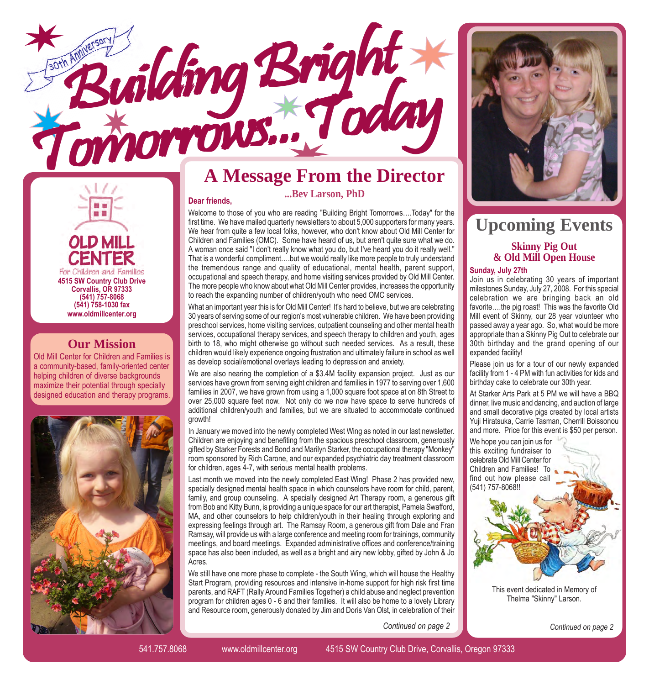

**Dear friends,**



### **Our Mission**

Old Mill Center for Children and Families is a community-based, family-oriented center helping children of diverse backgrounds maximize their potential through specially designed education and therapy programs.



## **A Message From the Director**

### **...Bev Larson, PhD**

Welcome to those of you who are reading "Building Bright Tomorrows....Today" for the first time. We have mailed quarterly newsletters to about 5,000 supporters for many years. We hear from quite a few local folks, however, who don't know about Old Mill Center for Children and Families (OMC). Some have heard of us, but aren't quite sure what we do. A woman once said "I don't really know what you do, but I've heard you do it really well." That is a wonderful compliment....but we would really like more people to truly understand the tremendous range and quality of educational, mental health, parent support, occupational and speech therapy, and home visiting services provided by Old Mill Center. The more people who know about what Old Mill Center provides, increases the opportunity to reach the expanding number of children/youth who need OMC services.

What an important year this is for Old Mill Center! It's hard to believe, but we are celebrating 30 years of serving some of our region's most vulnerable children. We have been providing preschool services, home visiting services, outpatient counseling and other mental health services, occupational therapy services, and speech therapy to children and youth, ages birth to 18, who might otherwise go without such needed services. As a result, these children would likely experience ongoing frustration and ultimately failure in school as well as develop social/emotional overlays leading to depression and anxiety.

We are also nearing the completion of a \$3.4M facility expansion project. Just as our services have grown from serving eight children and families in 1977 to serving over 1,600 families in 2007, we have grown from using a 1,000 square foot space at on 8th Street to over 25,000 square feet now. Not only do we now have space to serve hundreds of additional children/youth and families, but we are situated to accommodate continued growth!

In January we moved into the newly completed West Wing as noted in our last newsletter. Children are enjoying and benefiting from the spacious preschool classroom, generously gifted by Starker Forests and Bond and Marilyn Starker, the occupational therapy "Monkey" room sponsored by Rich Carone, and our expanded psychiatric day treatment classroom for children, ages 4-7, with serious mental health problems.

Last month we moved into the newly completed East Wing! Phase 2 has provided new, specially designed mental health space in which counselors have room for child, parent, family, and group counseling. A specially designed Art Therapy room, a generous gift from Bob and Kitty Bunn, is providing a unique space for our art therapist, Pamela Swafford, MA, and other counselors to help children/youth in their healing through exploring and expressing feelings through art. The Ramsay Room, a generous gift from Dale and Fran Ramsay, will provide us with a large conference and meeting room for trainings, community meetings, and board meetings. Expanded administrative offices and conference/training space has also been included, as well as a bright and airy new lobby, gifted by John & Jo Acres.

We still have one more phase to complete - the South Wing, which will house the Healthy Start Program, providing resources and intensive in-home support for high risk first time parents, and RAFT (Rally Around Families Together) a child abuse and neglect prevention program for children ages 0 - 6 and their families. It will also be home to a lovely Library and Resource room, generously donated by Jim and Doris Van Olst, in celebration of their

*Continued on page 2 Continued on page 2*



## **Upcoming Events Skinny Pig Out**

## **& Old Mill Open House**

#### **Sunday, July 27th**

Join us in celebrating 30 years of important milestones Sunday, July 27, 2008. For this special celebration we are bringing back an old favorite....the pig roast! This was the favorite Old Mill event of Skinny, our 28 year volunteer who passed away a year ago. So, what would be more appropriate than a Skinny Pig Out to celebrate our 30th birthday and the grand opening of our expanded facility!

Please join us for a tour of our newly expanded facility from 1 - 4 PM with fun activities for kids and birthday cake to celebrate our 30th year.

At Starker Arts Park at 5 PM we will have a BBQ dinner, live music and dancing, and auction of large and small decorative pigs created by local artists Yuji Hiratsuka, Carrie Tasman, Cherrill Boissonou and more. Price for this event is \$50 per person.

We hope you can join us for this exciting fundraiser to celebrate Old Mill Center for Children and Families! To find out how please call (541) 757-8068!!



This event dedicated in Memory of Thelma "Skinny" Larson.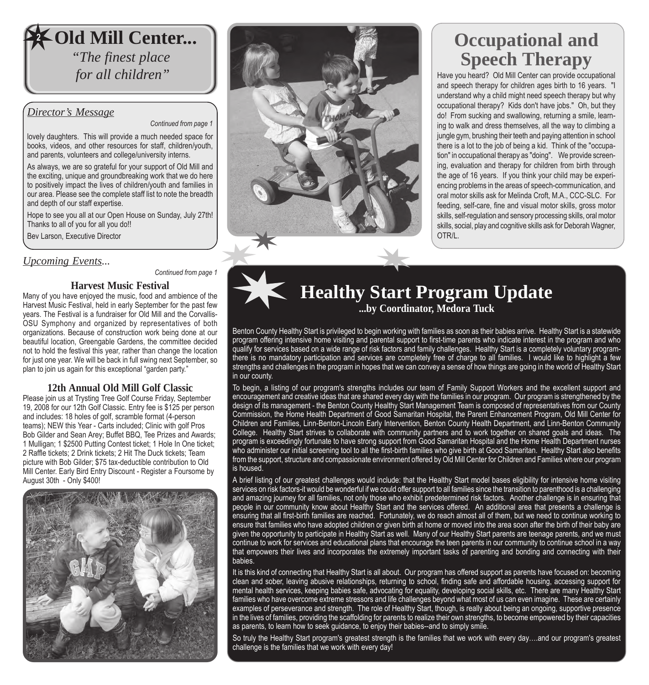

### *Director's Message*

*Continued from page 1*

lovely daughters. This will provide a much needed space for books, videos, and other resources for staff, children/youth, and parents, volunteers and college/university interns.

As always, we are so grateful for your support of Old Mill and the exciting, unique and groundbreaking work that we do here to positively impact the lives of children/youth and families in our area. Please see the complete staff list to note the breadth and depth of our staff expertise.

Hope to see you all at our Open House on Sunday, July 27th! Thanks to all of you for all you do!!

Bev Larson, Executive Director

### *Upcoming Events...*



#### **Harvest Music Festival**

Many of you have enjoyed the music, food and ambience of the Harvest Music Festival, held in early September for the past few years. The Festival is a fundraiser for Old Mill and the Corvallis-OSU Symphony and organized by representatives of both organizations. Because of construction work being done at our beautiful location, Greengable Gardens, the committee decided not to hold the festival this year, rather than change the location for just one year. We will be back in full swing next September, so plan to join us again for this exceptional "garden party."

#### **12th Annual Old Mill Golf Classic**

Please join us at Trysting Tree Golf Course Friday, September 19, 2008 for our 12th Golf Classic. Entry fee is \$125 per person and includes: 18 holes of golf, scramble format (4-person teams); NEW this Year - Carts included; Clinic with golf Pros Bob Gilder and Sean Arey; Buffet BBQ, Tee Prizes and Awards; 1 Mulligan; 1 \$2500 Putting Contest ticket; 1 Hole In One ticket; 2 Raffle tickets; 2 Drink tickets; 2 Hit The Duck tickets; Team picture with Bob Gilder; \$75 tax-deductible contribution to Old Mill Center. Early Bird Entry Discount - Register a Foursome by August 30th - Only \$400!





## **Occupational and Speech Therapy**

Have you heard? Old Mill Center can provide occupational and speech therapy for children ages birth to 16 years. "I understand why a child might need speech therapy but why occupational therapy? Kids don't have jobs." Oh, but they do! From sucking and swallowing, returning a smile, learning to walk and dress themselves, all the way to climbing a jungle gym, brushing their teeth and paying attention in school there is a lot to the job of being a kid. Think of the "occupation" in occupational therapy as "doing". We provide screening, evaluation and therapy for children from birth through the age of 16 years. If you think your child may be experiencing problems in the areas of speech-communication, and oral motor skills ask for Melinda Croft, M.A., CCC-SLC. For feeding, self-care, fine and visual motor skills, gross motor skills, self-regulation and sensory processing skills, oral motor skills, social, play and cognitive skills ask for Deborah Wagner, OTR/L.



### **Healthy Start Program Update ...by Coordinator, Medora Tuck**

Benton County Healthy Start is privileged to begin working with families as soon as their babies arrive. Healthy Start is a statewide program offering intensive home visiting and parental support to first-time parents who indicate interest in the program and who qualify for services based on a wide range of risk factors and family challenges. Healthy Start is a completely voluntary programthere is no mandatory participation and services are completely free of charge to all families. I would like to highlight a few strengths and challenges in the program in hopes that we can convey a sense of how things are going in the world of Healthy Start in our county.

To begin, a listing of our program's strengths includes our team of Family Support Workers and the excellent support and encouragement and creative ideas that are shared every day with the families in our program. Our program is strengthened by the design of its management - the Benton County Healthy Start Management Team is composed of representatives from our County Commission, the Home Health Department of Good Samaritan Hospital, the Parent Enhancement Program, Old Mill Center for Children and Families, Linn-Benton-Lincoln Early Intervention, Benton County Health Department, and Linn-Benton Community College. Healthy Start strives to collaborate with community partners and to work together on shared goals and ideas. The program is exceedingly fortunate to have strong support from Good Samaritan Hospital and the Home Health Department nurses who administer our initial screening tool to all the first-birth families who give birth at Good Samaritan. Healthy Start also benefits from the support, structure and compassionate environment offered by Old Mill Center for Children and Families where our program is housed.

A brief listing of our greatest challenges would include: that the Healthy Start model bases eligibility for intensive home visiting services on risk factors-it would be wonderful if we could offer support to all families since the transition to parenthood is a challenging and amazing journey for all families, not only those who exhibit predetermined risk factors. Another challenge is in ensuring that people in our community know about Healthy Start and the services offered. An additional area that presents a challenge is ensuring that all first-birth families are reached. Fortunately, we do reach almost all of them, but we need to continue working to ensure that families who have adopted children or given birth at home or moved into the area soon after the birth of their baby are given the opportunity to participate in Healthy Start as well. Many of our Healthy Start parents are teenage parents, and we must continue to work for services and educational plans that encourage the teen parents in our community to continue school in a way that empowers their lives and incorporates the extremely important tasks of parenting and bonding and connecting with their babies.

It is this kind of connecting that Healthy Start is all about. Our program has offered support as parents have focused on: becoming clean and sober, leaving abusive relationships, returning to school, finding safe and affordable housing, accessing support for mental health services, keeping babies safe, advocating for equality, developing social skills, etc. There are many Healthy Start families who have overcome extreme stressors and life challenges beyond what most of us can even imagine. These are certainly examples of perseverance and strength. The role of Healthy Start, though, is really about being an ongoing, supportive presence in the lives of families, providing the scaffolding for parents to realize their own strengths, to become empowered by their capacities as parents, to learn how to seek guidance, to enjoy their babies--and to simply smile.

So truly the Healthy Start program's greatest strength is the families that we work with every day....and our program's greatest challenge is the families that we work with every day!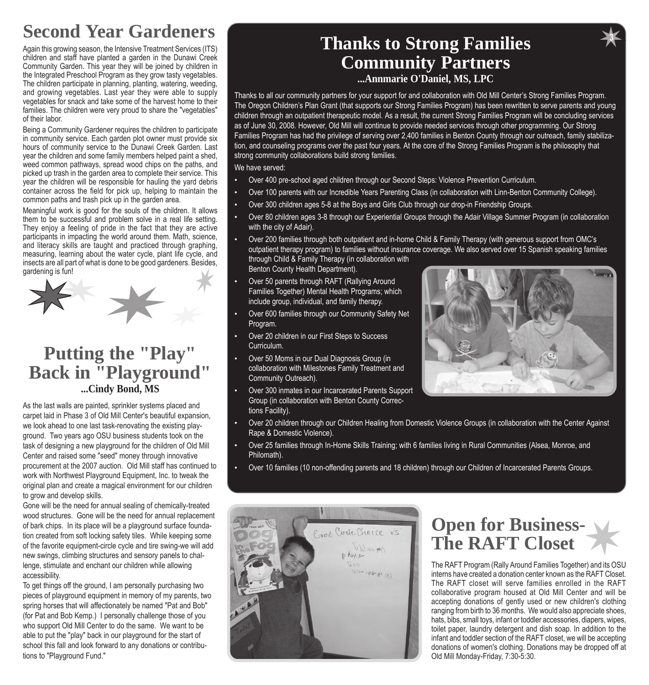# **Second Year Gardeners**

Again this growing season, the Intensive Treatment Services (ITS) children and staff have planted a garden in the Dunawi Creek Community Garden. This year they will be joined by children in the Integrated Preschool Program as they grow tasty vegetables. The children participate in planning, planting, watering, weeding, and growing vegetables. Last year they were able to supply vegetables for snack and take some of the harvest home to their families. The children were very proud to share the "vegetables" of their labor.

Being a Community Gardener requires the children to participate in community service. Each garden plot owner must provide six hours of community service to the Dunawi Creek Garden. Last year the children and some family members helped paint a shed, weed common pathways, spread wood chips on the paths, and picked up trash in the garden area to complete their service. This year the children will be responsible for hauling the yard debris container across the field for pick up, helping to maintain the common paths and trash pick up in the garden area.

Meaningful work is good for the souls of the children. It allows them to be successful and problem solve in a real life setting. They enjoy a feeling of pride in the fact that they are active participants in impacting the world around them. Math, science, and literacy skills are taught and practiced through graphing, measuring, learning about the water cycle, plant life cycle, and insects are all part of what is done to be good gardeners. Besides, gardening is fun!



## **Putting the "Play" Back in "Playground" ...Cindy Bond, MS**

As the last walls are painted, sprinkler systems placed and carpet laid in Phase 3 of Old Mill Center's beautiful expansion, we look ahead to one last task-renovating the existing playground. Two years ago OSU business students took on the task of designing a new playground for the children of Old Mill Center and raised some "seed" money through innovative procurement at the 2007 auction. Old Mill staff has continued to work with Northwest Playground Equipment, Inc. to tweak the original plan and create a magical environment for our children to grow and develop skills.

Gone will be the need for annual sealing of chemically-treated wood structures. Gone will be the need for annual replacement of bark chips. In its place will be a playground surface foundation created from soft locking safety tiles. While keeping some of the favorite equipment-circle cycle and tire swing-we will add new swings, climbing structures and sensory panels to challenge, stimulate and enchant our children while allowing accessibility.

To get things off the ground, I am personally purchasing two pieces of playground equipment in memory of my parents, two spring horses that will affectionately be named "Pat and Bob" (for Pat and Bob Kemp.) I personally challenge those of you who support Old Mill Center to do the same. We want to be able to put the "play" back in our playground for the start of school this fall and look forward to any donations or contributions to "Playground Fund."

## **Thanks to Strong Families Community Partners**

**...Annmarie O'Daniel, MS, LPC**

Thanks to all our community partners for your support for and collaboration with Old Mill Center's Strong Families Program. The Oregon Childrenís Plan Grant (that supports our Strong Families Program) has been rewritten to serve parents and young children through an outpatient therapeutic model. As a result, the current Strong Families Program will be concluding services as of June 30, 2008. However, Old Mill will continue to provide needed services through other programming. Our Strong Families Program has had the privilege of serving over 2,400 families in Benton County through our outreach, family stabilization, and counseling programs over the past four years. At the core of the Strong Families Program is the philosophy that strong community collaborations build strong families.

We have served:

- Over 400 pre-school aged children through our Second Steps: Violence Prevention Curriculum.
- Over 100 parents with our Incredible Years Parenting Class (in collaboration with Linn-Benton Community College).
- Over 300 children ages 5-8 at the Boys and Girls Club through our drop-in Friendship Groups.
- Over 80 children ages 3-8 through our Experiential Groups through the Adair Village Summer Program (in collaboration with the city of Adair).
- Over 200 families through both outpatient and in-home Child & Family Therapy (with generous support from OMCís outpatient therapy program) to families without insurance coverage. We also served over 15 Spanish speaking families through Child & Family Therapy (in collaboration with Benton County Health Department).
- Over 50 parents through RAFT (Rallying Around Families Together) Mental Health Programs; which include group, individual, and family therapy.
- Over 600 families through our Community Safety Net Program.
- Over 20 children in our First Steps to Success Curriculum.
- Over 50 Moms in our Dual Diagnosis Group (in collaboration with Milestones Family Treatment and Community Outreach).
- Over 300 inmates in our Incarcerated Parents Support Group (in collaboration with Benton County Corrections Facility).
- Over 20 children through our Children Healing from Domestic Violence Groups (in collaboration with the Center Against Rape & Domestic Violence).
- Over 25 families through In-Home Skills Training; with 6 families living in Rural Communities (Alsea, Monroe, and Philomath).
- Over 10 families (10 non-offending parents and 18 children) through our Children of Incarcerated Parents Groups.



## **Open for Business-The RAFT Closet**

The RAFT Program (Rally Around Families Together) and its OSU interns have created a donation center known as the RAFT Closet. The RAFT closet will serve families enrolled in the RAFT collaborative program housed at Old Mill Center and will be accepting donations of gently used or new children's clothing ranging from birth to 36 months. We would also appreciate shoes, hats, bibs, small toys, infant or toddler accessories, diapers, wipes, toilet paper, laundry detergent and dish soap. In addition to the infant and toddler section of the RAFT closet, we will be accepting donations of women's clothing. Donations may be dropped off at Old Mill Monday-Friday, 7:30-5:30.



**3**